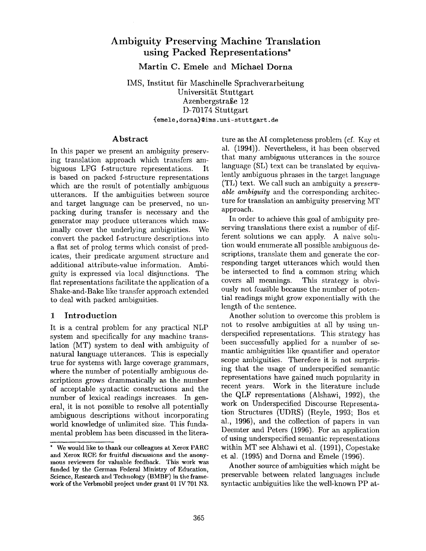# **Ambiguity Preserving Machine Translation using Packed Representations\***

**Martin C. Emele and Michael Dorna** 

IMS, Institut fiir Maschinelle Sprachverarbeitung Universität Stuttgart Azenbergstraße 12 D-70174 Stuttgart {emele, dorna}@ims, uni- stuttgart, de

#### **Abstract**

In this paper we present an ambiguity preserving translation approach which transfers ambiguous LFG f-structure representations. It is based on packed f-structure representations which are the result of potentially ambiguous utterances. If the ambiguities between source and target language can be preserved, no unpacking during transfer is necessary and the generator may produce utterances which maximally cover the underlying ambiguities. We convert the packed f-structure descriptions into a flat set of prolog terms which consist of predicates, their predicate argument structure and additional attribute-value information. Ambiguity is expressed via local disjunctions. The flat representations facilitate the application of a Shake-and-Bake like transfer approach extended to deal with packed ambiguities.

#### 1 Introduction

It is a central problem for any practical NLP system and specifically for any machine translation (MT) system to deal with ambiguity of natural language utterances. This is especially true for systems with large coverage grammars, where the number of potentially ambiguous descriptions grows drammatically as the number of acceptable syntactic constructions and the number of lexical readings increases. In general, it is not possible to resolve all potentially ambiguous descriptions without incorporating world knowledge of unlimited size. This fundamental problem has been discussed in the litera-

ture as the AI completeness problem (cf. Kay et al. (1994)). Nevertheless, it has been observed that many ambiguous utterances in the source language (SL) text can be translated by equivalently ambiguous phrases in the target language (TL) text. We call such an ambiguity a *preservable ambiguity* and the corresponding architecture for translation an ambiguity preserving MT approach.

In order to achieve this goal of ambiguity preserving translations there exist a number of different solutions we can apply. A naive solution would enumerate all possible ambiguous descriptions, translate them and generate the corresponding target utterances which would then be intersected to find a common string which covers all meanings. This strategy is obviously not feasible because the number of potential readings might grow exponentially with the length of the sentence.

Another solution to overcome this problem is not to resolve ambiguities at all by using underspecified representations. This strategy has been successfully applied for a number of semantic ambiguities like quantifier and operator scope ambiguities. Therefore it is not surprising that the usage of underspecified semantic representations have gained much popularity in recent years. Work in the literature include the QLF representations (Alshawi, 1992), the work on Underspecified Discourse Representation Structures (UDRS) (Reyle, 1993; Bos et al., 1996), and the collection of papers in van Deemter and Peters (1996). For an application of using underspecified semantic representations within MT see Alshawi et al. (1991), Copestake et al. (1995) and Dorna and Emele (1996).

Another source of ambiguities which might be preservable between related languages include syntactic ambiguities like the well-known PP at-

<sup>\*</sup> We would like to thank our colleagues at Xerox PARC and Xerox RCE for fruitful discussions and the anonymous reviewers for valuable feedback. This work was funded by the German Federal Ministry of Education, Science, Research and Technology (BMBF) in the framework of the Verbmobil project under grant 01 IV 701 N3.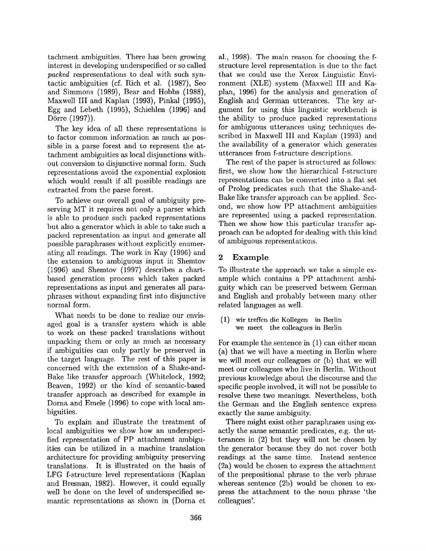tachment ambiguities. There has been growing interest in developing underspecified or so called *packed* respresentations to deal with such syntactic ambiguities (cf. Rich et al. (1987), Seo and Simmons  $(1989)$ , Bear and Hobbs  $(1988)$ , Maxwell III and Kaplan (1993), Pinkal (1995), Egg and Lebeth (1995), Schiehlen (1996) and Dörre (1997)).

The key idea of all these representations is to factor common information as much as possible in a parse forest and to represent the attachment ambiguities as local disjunctions without conversion to disjunctive normal form. Such representations avoid the exponential explosion which would result if all possible readings are extracted from the parse forest.

To achieve our overall goal of ambiguity preserving MT it requires not only a parser which is able to produce such packed representations but also a generator which is able to take such a packed representation as input and generate all possible paraphrases without explicitly enumerating all readings. The work in Kay (1996) and the extension to ambiguous input in Shemtov (1996) and Shemtov (1997) describes a chartbased generation process which takes packed representations as input and generates all paraphrases without expanding first into disjunctive normal form.

What needs to be done to realize our envisaged goal is a transfer system which is able to work on these packed translations without unpacking them or only as much as necessary if ambiguities can only partly be preserved in the target language. The rest of this paper is concerned with the extension of a Shake-and-Bake like transfer approach (Whitelock, 1992; Beaven, 1992) or the kind of semantic-based transfer approach as described for example in Dorna and Emele (1996) to cope with local ambiguities.

To explain and illustrate the treatment of local ambiguities we show how an underspecified representation of PP attachment ambiguities can be utilized in a machine translation architecture for providing ambiguity preserving translations. It is illustrated on the basis of LFG f-structure level representations (Kaplan and Bresnan, 1982). However, it could equally well be done on the level of underspecified semantic representations as shown in (Dorna et

al., 1998). The main reason for choosing the fstructure level representation is due to the fact that we could use the Xerox Linguistic Environment (XLE) system (Maxwell III and Kaplan, 1996) for the analysis and generation of English and German utterances. The key argument for using this linguistic workbench is the ability to produce packed representations for ambiguous utterances using techniques described in Maxwell III and Kaplan (1993) and the availability of a generator which generates utterances from f-structure descriptions.

The rest of the paper is structured as follows: first, we show how the hierarchical f-structure representations can be converted into a flat set of Prolog predicates such that the Shake-and-Bake like transfer approach can be applied. Second, we show how PP attachment ambiguities are represented using a packed representation. Then we show how this particular transfer approach can be adopted for dealing with this kind of ambiguous representations.

# 2 Example

To illustrate the approach we take a simple example which contains a PP attachment ambiguity which can be preserved between German and English and probably between many other related languages as well.

(1) wir treffen die Kollegen in Berlin we meet the colleagues in Berlin

For example the sentence in  $(1)$  can either mean (a) that we will have a meeting in Berlin where we will meet our colleagues or (b) that we will meet our colleagues who live in Berlin. Without previous knowledge about the discourse and the specific people involved, it will not be possible to resolve these two meanings. Nevertheless, both the German and the English sentence express exactly the same ambiguity.

There might exist other paraphrases using exactly the same semantic predicates, e.g. the utterances in (2) but they will not be chosen by the generator because they do not cover both readings at the same time. Instead sentence (2a) would be chosen to express the attachment of the prepositional phrase to the verb phrase whereas sentence (2b) would be chosen to express the attachment to the noun phrase 'the colleagues'.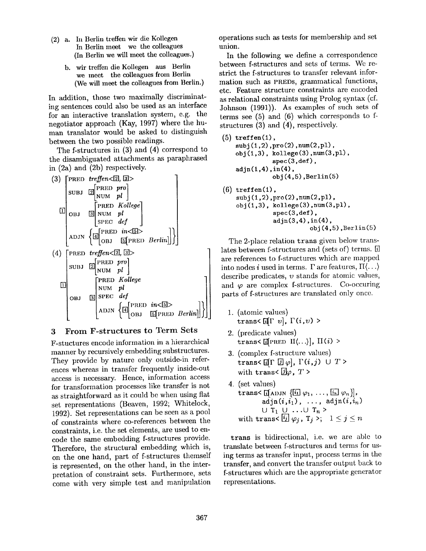- (2) a. In Berlin treffen wir die Kollegen In Berlin meet we the colleagues (In Berlin we will meet the colleagues.)
	- b. wir treffen die Kollegen aus Berlin we meet the colleagues from Berlin (We will meet the colleagues from Berlin.)

In addition, those two maximally discriminating sentences could also be used as an interface for an interactive translation system, e.g. the negotiator approach (Kay, 1997) where the human translator would be asked to distinguish between the two possible readings.

The f-structures in (3) and (4) correspond to the disambiguated attachments as paraphrased in (2a) and (2b) respectively.



#### **3 From F-structures to Term Sets**

F-stuctures encode information in a hierarchical manner by recursively embedding substructures. They provide by nature only outside-in references whereas in transfer frequently inside-out access is necessary. Hence, information access for transformation processes like transfer is not as straightforward as it could be when using flat set representations (Beaven, 1992; Whitelock, 1992). Set representations can be seen as a pool of constraints where co-references between the constraints, i.e. the set elements, are used to encode the same embedding f-structures provide. Therefore, the structural embedding which is, on the one hand, part of f-structures themself is represented, on the other hand, in the interpretation of constraint sets. Furthermore, sets come with very simple test and manipulation operations such as tests for membership and set union.

In the following we define a correspondence between f-structures and sets of terms. We restrict the f-structures to transfer relevant information such as PRED8, grammatical functions, etc. Feature structure constraints are encoded as relational constraints using Prolog syntax (cf. Johnson (1991)). As examples of such sets of terms see (5) and (6) which corresponds to **f**structures (3) and (4), respectively.

```
(5) treffen(1),
   subj(1,2), pro(2), num(2, pl),
   obj(1,3), kollege(3), num(3,pl),
              spec(3,def),adjn(1,4),in(4),obj(4,5), Berlin(5)
(6) treffen(1),
   subj(1, 2), pro(2), num(2, pl),obj(1,3), kollege(3), num(3,pl),
              spec(3,def),adin(3,4), in(4),
```
 $obj(4,5)$ , Berlin $(5)$ 

The 2-place relation trans given below translates between f-structures and (sets of) terms. [i] are references to f-structures which are mapped into nodes i used in terms.  $\Gamma$  are features,  $\Pi \langle \ldots \rangle$ describe predicates,  $v$  stands for atomic values, and  $\varphi$  are complex f-structures. Co-occuring parts of f-structures are translated only once.

- 1. (atomic values)  $trans\{\text{if} \Gamma \ v\}, \Gamma(i, v)$
- 2. (predicate values) trans< [[PRED  $\text{II}(\ldots)|$ ,  $\text{II}(i)$  >
- 3. (complex f-structure values) trans<  $[\![\Gamma \; [\vec{\mathit{u}}] \; \varphi]$ ,  $\Gamma(i,j) \cup T$  > with trans $\langle \overline{\mathcal{G}} | \varphi, T \rangle$
- 4. (set values) trans<  $\left[\left[\begin{array}{ccc}A\text{D}\text{JN} & \left[\begin{array}{ccc}1\end{array}\right]\varphi_1, \ldots, \left[\begin{array}{ccc}I_n\end{array}\right]\varphi_n\right]\right],$  $\text{adjn}(i, i_1), \ldots, \text{adjn}(i, i_n)$  $\cup$  T<sub>1</sub>  $\cup$  ... $\cup$  T<sub>n</sub> > with trans<  $[i] \varphi_i$ ,  $T_j > 1 \leq j \leq n$

trans is bidirectional, i.e. we are able to translate between f-structures and terms for using terms as transfer input, process terms in the transfer, and convert the transfer output back to f-structures which are the appropriate generator representations.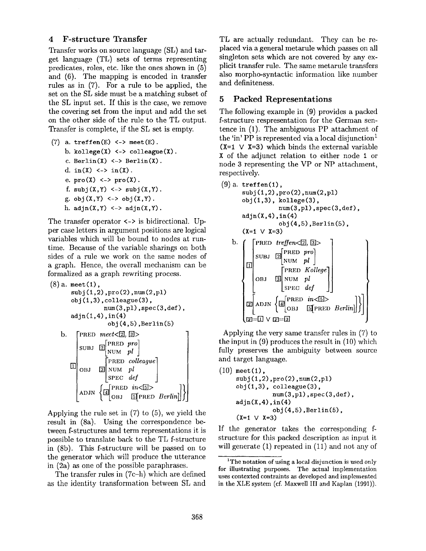#### 4 F-structure Transfer

Transfer works on source language (SL) and target language (TL) sets of terms representing predicates, roles, etc. like the ones shown in (5) and (6). The mapping is encoded in transfer rules as in (7). For a rule to be applied, the set on the SL side must be a matching subset of the SL input set. If this is the case, we remove the covering set from the input and add the set on the other side of the rule to the TL output. Transfer is complete, if the SL set is empty.

(7) a.  $\text{treffen}(E) \iff \text{meet}(E)$ . b. kollege $(X)$  <-> colleague $(X)$ . c.  $\text{Berlin}(X) \iff \text{Berlin}(X)$ . d. in $(X)$  <-> in $(X)$ . e.  $\text{pro}(X) \leq$  >  $\text{pro}(X)$ . f.  $\text{subj}(X,Y) \leq > \text{subj}(X,Y)$ . g.  $obj(X, Y) \leq > obj(X, Y)$ . h.  $\text{adin}(X, Y) \iff \text{adin}(X, Y)$ .

The transfer operator <-> is bidirectional. Upper case letters in argument positions are logical variables which will be bound to nodes at runtime. Because of the variable sharings on both sides of a rule we work on the same nodes of a graph. Hence, the overall mechanism can be formalized as a graph rewriting process.

```
(8) a. meet(1),
            subj(1,2), pro(2), num(2,p1)obj(1, 3), colleague(3),
                                 num(3,pl), spec(3,def),
            adin(1,4), in(4)obj(4,5), Berlin(5)b. [PRED \; meet \leq 2], [3] >\begin{bmatrix} \text{SUBJ} & \boxed{2} \end{bmatrix} \begin{bmatrix} \text{PRED} & \text{pro} \\ \text{NUM} & \text{pl} \end{bmatrix}[PRED colleague] 
                  OBJ \boxed{3}NUM plSPEC def
                 \bigg| ADJN \left\{\begin{matrix}\boxed{\mathbf{a}} \end{matrix}\right\}^{\text{PRED}} in \left\{\begin{matrix}\boxed{\mathbf{a}} \end{matrix}\right\} \bigg| \text{PRED} Berlin
```
Applying the rule set in (7) to (5), we yield the result in (8a). Using the correspondence between f-structures and term representations it is possible to translate back to the TL f-structure in (8b). This f-structure will be passed on to the generator which will produce the utterance in (2a) as one of the possible paraphrases.

The transfer rules in (7c-h) which are defined as the identity transformation between SL and TL are actually redundant. They can be replaced via a general metarule which passes on all singleton sets which are not covered by any explicit transfer rule. The same metarule transfers also morpho-syntactic information like number and definiteness.

### 5 Packed Representations

The following example in (9) provides a packed f-structure respresentation for the German sentence in (1). The ambiguous PP attachment of the 'in' PP is represented via a local disjunction<sup>1</sup>  $(X=1 \vee X=3)$  which binds the external variable X of the adjunct relation to either node 1 or node 3 representing the VP or NP attachment, respectively.

(9) a. trefen(1),  
\n
$$
subj(1,2), pro(2), num(2,p1)
$$
\n
$$
obj(1,3), kollege(3),\nnum(3,p1), spec(3,def),\nadjn(X,4), in(4)\n
$$
obj(4,5), Berlin(5),\n(X=1 \lor X=3)
$$
\nb. 
$$
\left(\begin{matrix} PRED\ treflen $\left[2,3\right]>$   
\nSUBJ\ 2\left[REDP\n\end{matrix}\right] \begin{matrix} PRED\ pro\\ NUM\ pl\\ SPEC\ def \end{matrix}\right)
$$
\n
$$
obj(4,5), Berlin(5),\n[NED\ 2,3] \begin{matrix} 1 & 1 & 1 \\ 1 & 1 & 1 \\ 1 & 1 & 1 \end{matrix}
$$
\n
$$
obj(4,5), Berlin(5),\n[NED\ 2,3] \begin{matrix} 1 & 1 & 1 \\ 1 & 1 & 1 \\ 1 & 1 & 1 \end{matrix}
$$
\n
$$
obj(4,5), Berlin(5),\n[NED\ 2,3] \end{matrix}
$$
$$

Applying the very same transfer rules in (7) to the input in (9) produces the result in (10) which fully preserves the ambiguity between source and target language.

 $(10)$  meet $(1)$ ,  $\text{subj}(1,2), \text{pro}(2), \text{num}(2, p1)$  $obj(1,3)$ , colleague $(3)$ , num(3,pl) ,spec (3,def),  $adjn(X,4)$ ,  $in(4)$  $obj(4,5)$ , Berlin $(5)$ ,  $(X=1 \vee X=3)$ 

If the generator takes the corresponding fstructure for this packed description as input it will generate (1) repeated in (11) and not any of

<sup>&</sup>lt;sup>1</sup>The notation of using a local disjunction is used only for illustrating purposes. The actual implementation uses contexted contraints as developed and implemented in the XLE system (cf. Maxwell III and Kaplan (1991)).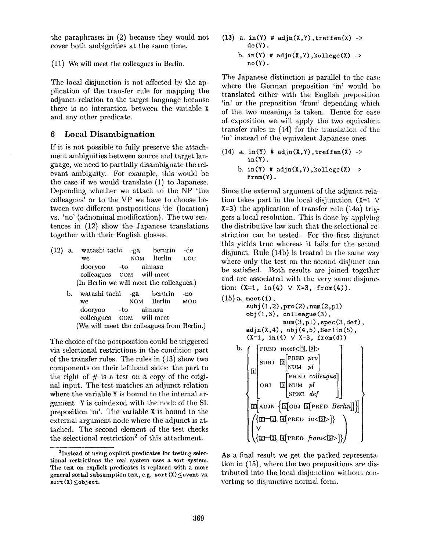the paraphrases in (2) because they would not cover both ambiguities at the same time.

(11) We will meet the colleagues in Berlin.

The local disjunction is not affected by the application of the transfer rule for mapping the adjunct relation to the target language because there is no interaction between the variable X and any other predicate.

# 6 Local Disambiguation

If it is not possible to fully preserve the attachment ambiguities between source and target language, we need to partially disambiguate the relevant ambiguity. For example, this would be the case if we would translate (1) to Japanese. Depending whether we attach to the NP 'the colleagues' or to the VP we have to choose between two different postpositions 'de' (location) vs. 'no' (adnominal modification). The two sentences in (12) show the Japanese translations together with their English glosses.

- (12) a. watashi tachi -ga berurin -de we NOM Berlin LOC dooryoo -to aim asu colleagues COM will meet (In Berlin we will meet the colleagues.)
	- b. watashi tachi -ga berurin -no we NOM Berlin MOD dooryoo -to aimasu colleagues COM will meet (We will meet the colleagues from Berlin.)

The choice of the postposition could be triggered via selectional restrictions in the condition part of the transfer rules. The rules in (13) show two components on their lefthand sides: the part to the right of  $\#$  is a test on a copy of the original input. The test matches an adjunct relation where the variable Y is bound to the internal argument. Y is coindexed with the node of the SL preposition 'in'. The variable X is bound to the external argument node where the adjunct is attached. The second element of the test checks the selectional restriction<sup>2</sup> of this attachment.

(13) a. in(Y) #  $adjn(X,Y)$ , treffen(X) ->  $de(Y)$ . b. in(Y)  $#$  adjn(X,Y), kollege(X) -> **no(Y).** 

The Japanese distinction is parallel to the case where the German preposition 'in' would be translated either with the English preposition 'in' or the preposition 'from' depending which of the two meanings is taken. Hence for ease of exposition we will apply the two equivalent transfer rules in (14) for the translation of the 'in' instead of the equivalent Japanese ones.

(14) a. in(Y) #  $adjn(X,Y)$ , treffen(X) ->  $in(Y)$ . b.  $in(Y)$  #  $adjn(X, Y)$ , kollege $(X)$  ->  $from (Y)$ .

Since the external argument of the adjunct relation takes part in the local disjunction  $(X=1 \vee$  $X=3$ ) the application of transfer rule (14a) triggers a local resolution. This is done by applying the distributive law such that the selectional restriction can be tested. For the first disjunct this yields true whereas it fails for the second disjunct. Rule (14b) is treated in the same way where only the test on the second disjunct can be satisfied. Both results are joined together and are associated with the very same disjunction:  $(X=1, \text{ in (4)} \vee X=3, \text{ from (4)}).$ 

```
(15) a. meet(l), 
           \text{subj}(1,2), \text{pro}(2), \text{num}(2, p1)obj(1,3), colleague(3),
                            num(3, p1), spec(3, def),adjn(X,4), obj(4,5), Berlin(5),(X=1, in(4) \vee X=3, from(4))b. \int [PRED meet \leq [2], [3] >
                 \begin{bmatrix} \text{SUBJ} & \boxed{2} \end{bmatrix}PRED pro
             \boxed{1} \begin{bmatrix} SUBJ \begin{bmatrix} 1 \end{bmatrix} NUM pl \begin{bmatrix} 1 \end{bmatrix}[PRED colleague
                 OBJ \Box NUM pl| SPEC def
             E ADJN \{I OBJ E PRED Berlin]]}
                \{\text{m}=\text{u},\text{a}[PRED in\langle \text{u}\rangle\}\{[z]=[3], [4][pred from<[5]>]
```
As a final result we get the packed representation in (15), where the two prepositions axe distributed into the local disjunction without converting to disjunctive normal form.

<sup>&</sup>lt;sup>2</sup>Instead of using explicit predicates for testing selectional restrictions the real system uses a sort system. The test on explicit predicates is replaced with a more general sortal subsumption test, e.g. sort  $(X) \le$ event vs.  $sort(X) \leq object.$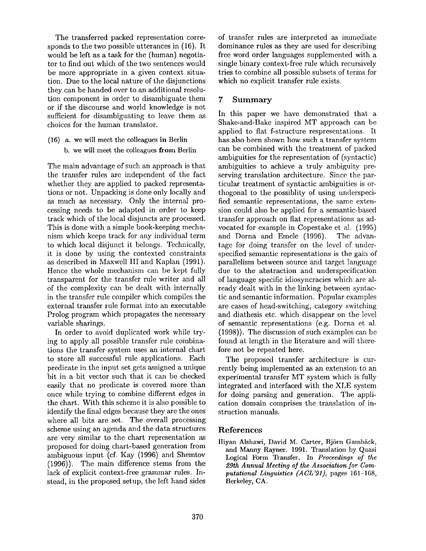The transferred packed representation corresponds to the two possible utterances in (16). It would be left as a task for the (human) negotiator to find out which of the two sentences would be more appropriate in a given context situation. Due to the local nature of the disjunctions they can be handed over to an additional resolution component in order to disambiguate them or if the discourse and world knowledge is not sufficient for disambiguating to leave them as choices for the human translator.

(16) a. we will meet the colleagues in Berlin b. we will meet the colleagues from Berlin

The main advantage of such an approach is that the transfer rules are independent of the fact whether they are applied to packed representations or not. Unpacking is done only locally and as much as necessary. Only the internal processing needs to be adapted in order to keep track which of the local disjuncts are processed. This is done with a simple book-keeping mechanism which keeps track for any individual term to which local disjunct it belongs. Technically, it is done by using the contexted constraints as described in Maxwell III and Kaplan (1991). Hence the whole mechanism can be kept fully transparent for the transfer rule writer and all of the complexity can be dealt with internally in the transfer rule compiler which compiles the external transfer rule format into an executable Prolog program which propagates the necessary variable sharings.

In order to avoid duplicated work while trying to apply all possible transfer rule combinations the transfer system uses an internal chart to store all successful rule applications. Each predicate in the input set gets assigned a unique bit in a bit vector such that it can be checked easily that no predicate is covered more than once while trying to combine different edges in the chart. With this scheme it is also possible to identify the final edges because they are the ones where all bits are set. The overall processing scheme using an agenda and the data structures are very similar to the chart representation as proposed for doing chart-based generation from ambiguous input (cf. Kay (1996) and Shemtov (1996)). The main difference stems from the lack of explicit context-free grammar rules. Instead, in the proposed setup, the left hand sides

of transfer rules are interpreted as immediate dominance rules as they are used for describing free word order languages supplemented with a single binary context-free rule which recursively tries to combine all possible subsets of terms for which no explicit transfer rule exists.

# 7 Summary

In this paper we have demonstrated that a Shake-and-Bake inspired MT approach can be applied to flat f-structure respresentations. It has also been shown how such a transfer system can be combined with the treatment of packed ambiguities for the representation of (syntactic) ambiguities to achieve a truly ambiguity preserving translation architecture. Since the particular treatment of syntactic ambiguities is orthogonal to the possiblity of using underspecified semantic representations, the same extension could also be applied for a semantic-based transfer approach on flat representations as advocated for example in Copestake et al. (1995) and Dorna and Emele (1996). The advantage for doing transfer on the level of underspecified semantic representations is the gain of parallelism between source and target language due to the abstraction and underspecification of language specific idiosyncracies which are already dealt with in the linking between syntactic and semantic information. Popular examples are cases of head-switching, category switching and diathesis etc. which disappear on the level of semantic representations (e.g. Dorna et al. (1998)). The discussion of such examples can be found at length in the literature and will therefore not be repeated here.

The proposed transfer architecture is currently being implemented as an extension to an experimental transfer MT system which is fully integrated and interfaced with the XLE system for doing parsing and generation. The application domain comprises the translation of instruction manuals.

# References

Hiyan Alshawi, David M. Carter, Björn Gambäck, and Manny Rayner. 1991. Translation by Quasi Logical Form Transfer. In *Proceedings of the 29th Annual Meeting of the Association for Computational Linguistics (ACL'91),* pages 161-168, Berkeley, CA.